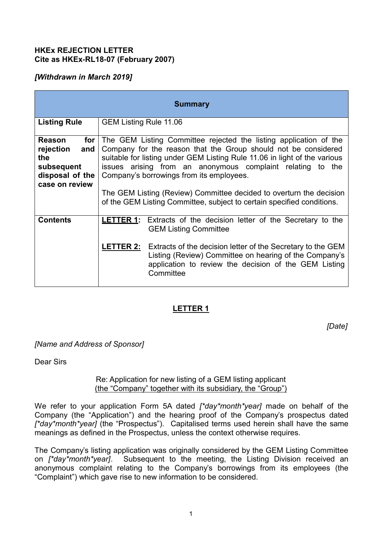## **HKEx REJECTION LETTER Cite as HKEx-RL18-07 (February 2007)**

## *[Withdrawn in March 2019]*

| <b>Summary</b>                                                                                             |                                                                                                                                                                                                                                                                                                                                                                                                                                                                             |                                                                                                                                                                                                                                                                                                                          |
|------------------------------------------------------------------------------------------------------------|-----------------------------------------------------------------------------------------------------------------------------------------------------------------------------------------------------------------------------------------------------------------------------------------------------------------------------------------------------------------------------------------------------------------------------------------------------------------------------|--------------------------------------------------------------------------------------------------------------------------------------------------------------------------------------------------------------------------------------------------------------------------------------------------------------------------|
| <b>Listing Rule</b>                                                                                        | GEM Listing Rule 11.06                                                                                                                                                                                                                                                                                                                                                                                                                                                      |                                                                                                                                                                                                                                                                                                                          |
| <b>Reason</b><br>for $\vert$<br>rejection<br>and<br>the<br>subsequent<br>disposal of the<br>case on review | The GEM Listing Committee rejected the listing application of the<br>Company for the reason that the Group should not be considered<br>suitable for listing under GEM Listing Rule 11.06 in light of the various<br>issues arising from an anonymous complaint relating to the<br>Company's borrowings from its employees.<br>The GEM Listing (Review) Committee decided to overturn the decision<br>of the GEM Listing Committee, subject to certain specified conditions. |                                                                                                                                                                                                                                                                                                                          |
| <b>Contents</b>                                                                                            |                                                                                                                                                                                                                                                                                                                                                                                                                                                                             | <b>LETTER 1:</b> Extracts of the decision letter of the Secretary to the<br><b>GEM Listing Committee</b><br><b>LETTER 2:</b> Extracts of the decision letter of the Secretary to the GEM<br>Listing (Review) Committee on hearing of the Company's<br>application to review the decision of the GEM Listing<br>Committee |

## **LETTER 1**

*[Date]*

*[Name and Address of Sponsor]*

Dear Sirs

#### Re: Application for new listing of a GEM listing applicant (the "Company" together with its subsidiary, the "Group")

We refer to your application Form 5A dated *[\*day\*month\*year]* made on behalf of the Company (the "Application") and the hearing proof of the Company's prospectus dated *[\*day\*month\*year]* (the "Prospectus"). Capitalised terms used herein shall have the same meanings as defined in the Prospectus, unless the context otherwise requires.

The Company's listing application was originally considered by the GEM Listing Committee on *[\*day\*month\*year]*. Subsequent to the meeting, the Listing Division received an anonymous complaint relating to the Company's borrowings from its employees (the "Complaint") which gave rise to new information to be considered.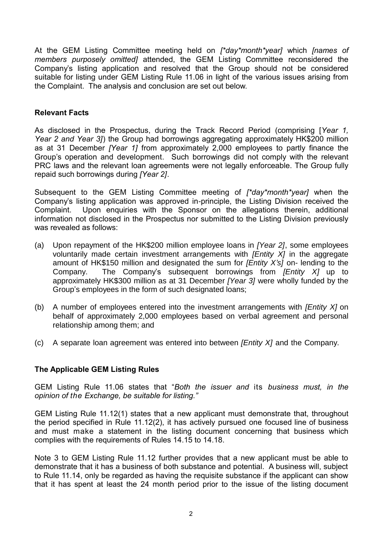At the GEM Listing Committee meeting held on *[\*day\*month\*year]* which *[names of members purposely omitted]* attended, the GEM Listing Committee reconsidered the Company's listing application and resolved that the Group should not be considered suitable for listing under GEM Listing Rule 11.06 in light of the various issues arising from the Complaint. The analysis and conclusion are set out below.

### **Relevant Facts**

As disclosed in the Prospectus, during the Track Record Period (comprising [*Year 1, Year 2 and Year 3]*) the Group had borrowings aggregating approximately HK\$200 million as at 31 December *[Year 1]* from approximately 2,000 employees to partly finance the Group's operation and development. Such borrowings did not comply with the relevant PRC laws and the relevant loan agreements were not legally enforceable. The Group fully repaid such borrowings during *[Year 2]*.

Subsequent to the GEM Listing Committee meeting of *[\*day\*month\*year]* when the Company's listing application was approved in-principle, the Listing Division received the Complaint. Upon enquiries with the Sponsor on the allegations therein, additional information not disclosed in the Prospectus nor submitted to the Listing Division previously was revealed as follows:

- (a) Upon repayment of the HK\$200 million employee loans in *[Year 2]*, some employees voluntarily made certain investment arrangements with *[Entity X]* in the aggregate amount of HK\$150 million and designated the sum for *[Entity X's]* on- lending to the Company. The Company's subsequent borrowings from *[Entity X]* up to approximately HK\$300 million as at 31 December *[Year 3]* were wholly funded by the Group's employees in the form of such designated loans;
- (b) A number of employees entered into the investment arrangements with *[Entity X]* on behalf of approximately 2,000 employees based on verbal agreement and personal relationship among them; and
- (c) A separate loan agreement was entered into between *[Entity X]* and the Company.

#### **The Applicable GEM Listing Rules**

GEM Listing Rule 11.06 states that "*Both the issuer and* its *business must, in the opinion of the Exchange, be suitable for listing."*

GEM Listing Rule 11.12(1) states that a new applicant must demonstrate that, throughout the period specified in Rule 11.12(2), it has actively pursued one focused line of business and must make a statement in the listing document concerning that business which complies with the requirements of Rules 14.15 to 14.18.

Note 3 to GEM Listing Rule 11.12 further provides that a new applicant must be able to demonstrate that it has a business of both substance and potential. A business will, subject to Rule 11.14, only be regarded as having the requisite substance if the applicant can show that it has spent at least the 24 month period prior to the issue of the listing document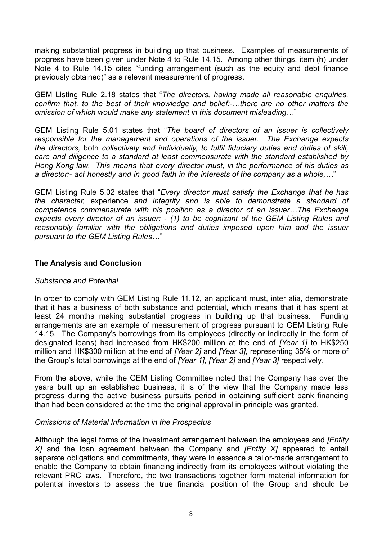making substantial progress in building up that business. Examples of measurements of progress have been given under Note 4 to Rule 14.15. Among other things, item (h) under Note 4 to Rule 14.15 cites "funding arrangement (such as the equity and debt finance previously obtained)" as a relevant measurement of progress.

GEM Listing Rule 2.18 states that "*The directors, having made all reasonable enquiries, confirm that, to the best of their knowledge and belief:-…there are no other matters the omission of which would make any statement in this document misleading…*"

GEM Listing Rule 5.01 states that "*The board of directors of an issuer is collectively responsible for the management and operations of the issuer. The Exchange expects the directors,* both *collectively and individually, to fulfil fiduciary duties and duties of skill, care and diligence to a standard at least commensurate with the standard established by Hong Kong law. This means that every director must, in the performance of his duties as a director:- act honestly and in good faith in the interests of the company as a whole,…*"

GEM Listing Rule 5.02 states that "*Every director must satisfy the Exchange that he has the character,* experience *and integrity and is able to demonstrate a standard of competence commensurate with his position as a director of an issuer…The Exchange expects every director of an issuer: - (1) to be cognizant of the GEM Listing Rules and reasonably familiar with the obligations and duties imposed upon him and the issuer pursuant to the GEM Listing Rules…*"

#### **The Analysis and Conclusion**

#### *Substance and Potential*

In order to comply with GEM Listing Rule 11.12, an applicant must, inter alia, demonstrate that it has a business of both substance and potential, which means that it has spent at least 24 months making substantial progress in building up that business. Funding arrangements are an example of measurement of progress pursuant to GEM Listing Rule 14.15. The Company's borrowings from its employees (directly or indirectly in the form of designated loans) had increased from HK\$200 million at the end of *[Year 1]* to HK\$250 million and HK\$300 million at the end of *[Year 2]* and *[Year 3]*, representing 35% or more of the Group's total borrowings at the end of *[Year 1]*, *[Year 2]* and *[Year 3]* respectively.

From the above, while the GEM Listing Committee noted that the Company has over the years built up an established business, it is of the view that the Company made less progress during the active business pursuits period in obtaining sufficient bank financing than had been considered at the time the original approval in-principle was granted.

#### *Omissions of Material Information in the Prospectus*

Although the legal forms of the investment arrangement between the employees and *[Entity X]* and the loan agreement between the Company and *[Entity X]* appeared to entail separate obligations and commitments, they were in essence a tailor-made arrangement to enable the Company to obtain financing indirectly from its employees without violating the relevant PRC laws. Therefore, the two transactions together form material information for potential investors to assess the true financial position of the Group and should be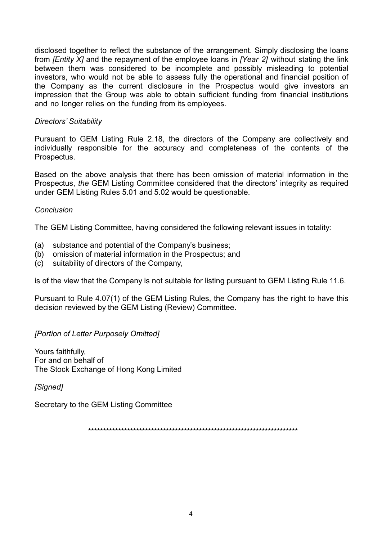disclosed together to reflect the substance of the arrangement. Simply disclosing the loans from *[Entity X]* and the repayment of the employee loans in *[Year 2]* without stating the link between them was considered to be incomplete and possibly misleading to potential investors, who would not be able to assess fully the operational and financial position of the Company as the current disclosure in the Prospectus would give investors an impression that the Group was able to obtain sufficient funding from financial institutions and no longer relies on the funding from its employees.

## *Directors' Suitability*

Pursuant to GEM Listing Rule 2.18, the directors of the Company are collectively and individually responsible for the accuracy and completeness of the contents of the Prospectus.

Based on the above analysis that there has been omission of material information in the Prospectus, *the* GEM Listing Committee considered that the directors' integrity as required under GEM Listing Rules 5.01 and 5.02 would be questionable.

## *Conclusion*

The GEM Listing Committee, having considered the following relevant issues in totality:

- (a) substance and potential of the Company's business;
- (b) omission of material information in the Prospectus; and
- (c) suitability of directors of the Company,

is of the view that the Company is not suitable for listing pursuant to GEM Listing Rule 11.6.

Pursuant to Rule 4.07(1) of the GEM Listing Rules, the Company has the right to have this decision reviewed by the GEM Listing (Review) Committee.

## *[Portion of Letter Purposely Omitted]*

Yours faithfully, For and on behalf of The Stock Exchange of Hong Kong Limited

*[Signed]*

Secretary to the GEM Listing Committee

\*\*\*\*\*\*\*\*\*\*\*\*\*\*\*\*\*\*\*\*\*\*\*\*\*\*\*\*\*\*\*\*\*\*\*\*\*\*\*\*\*\*\*\*\*\*\*\*\*\*\*\*\*\*\*\*\*\*\*\*\*\*\*\*\*\*\*\*\*\*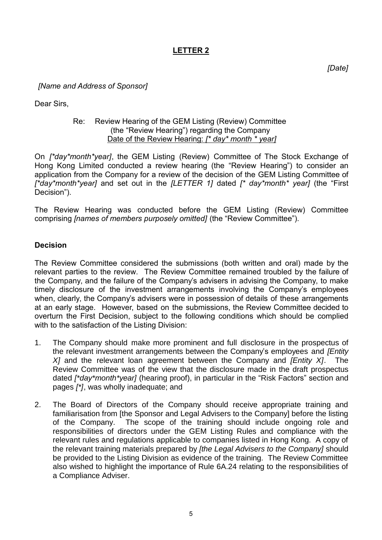# **LETTER 2**

*[Date]*

## *[Name and Address of Sponsor]*

Dear Sirs,

#### Re: Review Hearing of the GEM Listing (Review) Committee (the "Review Hearing") regarding the Company Date of the Review Hearing: *[\* day\* month \* year]*

On *[\*day\*month\*year]*, the GEM Listing (Review) Committee of The Stock Exchange of Hong Kong Limited conducted a review hearing (the "Review Hearing") to consider an application from the Company for a review of the decision of the GEM Listing Committee of *[\*day\*month\*year]* and set out in the *[LETTER 1]* dated *[\* day\*month\* year]* (the "First Decision").

The Review Hearing was conducted before the GEM Listing (Review) Committee comprising *[names of members purposely omitted]* (the "Review Committee").

#### **Decision**

The Review Committee considered the submissions (both written and oral) made by the relevant parties to the review. The Review Committee remained troubled by the failure of the Company, and the failure of the Company's advisers in advising the Company, to make timely disclosure of the investment arrangements involving the Company's employees when, clearly, the Company's advisers were in possession of details of these arrangements at an early stage. However, based on the submissions, the Review Committee decided to overturn the First Decision, subject to the following conditions which should be complied with to the satisfaction of the Listing Division:

- 1. The Company should make more prominent and full disclosure in the prospectus of the relevant investment arrangements between the Company's employees and *[Entity X]* and the relevant loan agreement between the Company and *[Entity X]*. The Review Committee was of the view that the disclosure made in the draft prospectus dated *[\*day\*month\*year]* (hearing proof), in particular in the "Risk Factors" section and pages *[\*]*, was wholly inadequate; and
- 2. The Board of Directors of the Company should receive appropriate training and familiarisation from [the Sponsor and Legal Advisers to the Company] before the listing of the Company. The scope of the training should include ongoing role and responsibilities of directors under the GEM Listing Rules and compliance with the relevant rules and regulations applicable to companies listed in Hong Kong. A copy of the relevant training materials prepared by *[the Legal Advisers to the Company]* should be provided to the Listing Division as evidence of the training. The Review Committee also wished to highlight the importance of Rule 6A.24 relating to the responsibilities of a Compliance Adviser.